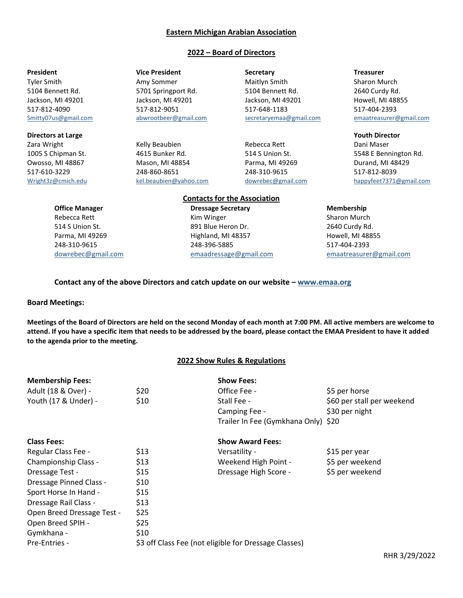#### **Eastern Michigan Arabian Association**

#### **2022 – Board of Directors**

**Directors at Large Youth Director** The Control of the Control of the Control of the Control of the Control of the Control of the Control of the Control of the Control of the Control of the Control of the Control of the Co

**President** Treasurer **Vice President Secretary Secretary Treasurer** 

Zara Wright **Example 20 Example 20 Example 20 Example 20 Example 20 Example 20 Example 20 Example 20 Example 20 Example 20 Example 20 Example 20 Example 20 Example 20 Example 20 Example 20 Example 20 Example 20 Example 20** Owosso, MI 48867 **Mason, MI 48854** Parma, MI 49269 **Parma, MI 49269** Durand, MI 48429 517-610-3229 248-860-8651 248-310-9615 517-812-8039

Tyler Smith **Amy Sommer** Amy Sommer Maitlyn Smith Sharon Murch 5104 Bennett Rd. 5701 Springport Rd. 5104 Bennett Rd. 2640 Curdy Rd. Jackson, MI 49201 Jackson, MI 49201 Jackson, MI 49201 Jackson, MI 49201 Howell, MI 48855 517-812-4090 517-812-9051 517-648-1183 517-404-2393 [Smitty07us@gmail.com](mailto:Smitty07us@gmail.com) [abwrootbeer@gmail.com](mailto:abwrootbeer@gmail.com) [secretaryemaa@gmail.com](mailto:secretaryemaa@gmail.com) [emaatreasurer@gmail.com](mailto:emaatreasurer@gmail.com)

1005 S Chipman St. **4615 Bunker Rd.** 514 S Union St. 5548 E Bennington Rd. [Wright3z@cmich.edu](mailto:Wright3z@cmich.edu) [kel.beaubien@yahoo.com](mailto:kel.beaubien@yahoo.com) [dowrebec@gmail.com](mailto:dowrebec@gmail.com) [happyfeet7371@gmail.com](mailto:happyfeet7371@gmail.com)

#### **Contacts for the Association Office Manager Dressage Secretary <b>Membership Membership**

Rebecca Rett **Kim Winger** Kim Winger Sharon Murch 514 S Union St. 891 Blue Heron Dr. 2640 Curdy Rd. Parma, MI 49269 **Highland, MI 48357** Howell, MI 48855 248-310-9615 248-396-5885 517-404-2393 [dowrebec@gmail.com](mailto:dowrebec@gmail.com) [emaadressage@gmail.com](mailto:emaadressage@gmail.com) [emaatreasurer@gmail.com](mailto:emaatreasurer@gmail.com)

#### **Contact any of the above Directors and catch update on our website – [www.emaa.org](http://www.emaa.org/)**

**Board Meetings:**

**Meetings of the Board of Directors are held on the second Monday of each month at 7:00 PM. All active members are welcome to attend. If you have a specific item that needs to be addressed by the board, please contact the EMAA President to have it added to the agenda prior to the meeting.**

#### **2022 Show Rules & Regulations**

| <b>Membership Fees:</b>    |      | <b>Show Fees:</b>                                     |                            |
|----------------------------|------|-------------------------------------------------------|----------------------------|
| Adult (18 & Over) -        | \$20 | Office Fee -                                          | \$5 per horse              |
| Youth (17 & Under) -       | \$10 | Stall Fee -                                           | \$60 per stall per weekend |
|                            |      | Camping Fee -                                         | \$30 per night             |
|                            |      | Trailer In Fee (Gymkhana Only) \$20                   |                            |
| <b>Class Fees:</b>         |      | <b>Show Award Fees:</b>                               |                            |
| Regular Class Fee -        | \$13 | Versatility -                                         | \$15 per year              |
| Championship Class -       | \$13 | Weekend High Point -                                  | \$5 per weekend            |
| Dressage Test -            | \$15 | Dressage High Score -                                 | \$5 per weekend            |
| Dressage Pinned Class -    | \$10 |                                                       |                            |
| Sport Horse In Hand -      | \$15 |                                                       |                            |
| Dressage Rail Class -      | \$13 |                                                       |                            |
| Open Breed Dressage Test - | \$25 |                                                       |                            |
| Open Breed SPIH -          | \$25 |                                                       |                            |
| Gymkhana -                 | \$10 |                                                       |                            |
| Pre-Entries -              |      | \$3 off Class Fee (not eligible for Dressage Classes) |                            |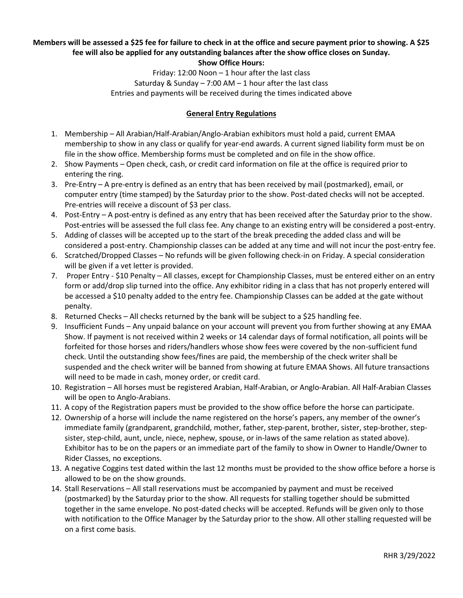# **Members will be assessed a \$25 fee for failure to check in at the office and secure payment prior to showing. A \$25 fee will also be applied for any outstanding balances after the show office closes on Sunday.**

**Show Office Hours:**

Friday: 12:00 Noon – 1 hour after the last class Saturday & Sunday  $-7:00$  AM  $-1$  hour after the last class Entries and payments will be received during the times indicated above

### **General Entry Regulations**

- 1. Membership All Arabian/Half-Arabian/Anglo-Arabian exhibitors must hold a paid, current EMAA membership to show in any class or qualify for year-end awards. A current signed liability form must be on file in the show office. Membership forms must be completed and on file in the show office.
- 2. Show Payments Open check, cash, or credit card information on file at the office is required prior to entering the ring.
- 3. Pre-Entry A pre-entry is defined as an entry that has been received by mail (postmarked), email, or computer entry (time stamped) by the Saturday prior to the show. Post-dated checks will not be accepted. Pre-entries will receive a discount of \$3 per class.
- 4. Post-Entry A post-entry is defined as any entry that has been received after the Saturday prior to the show. Post-entries will be assessed the full class fee. Any change to an existing entry will be considered a post-entry.
- 5. Adding of classes will be accepted up to the start of the break preceding the added class and will be considered a post-entry. Championship classes can be added at any time and will not incur the post-entry fee.
- 6. Scratched/Dropped Classes No refunds will be given following check-in on Friday. A special consideration will be given if a vet letter is provided.
- 7. Proper Entry \$10 Penalty All classes, except for Championship Classes, must be entered either on an entry form or add/drop slip turned into the office. Any exhibitor riding in a class that has not properly entered will be accessed a \$10 penalty added to the entry fee. Championship Classes can be added at the gate without penalty.
- 8. Returned Checks All checks returned by the bank will be subject to a \$25 handling fee.
- 9. Insufficient Funds Any unpaid balance on your account will prevent you from further showing at any EMAA Show. If payment is not received within 2 weeks or 14 calendar days of formal notification, all points will be forfeited for those horses and riders/handlers whose show fees were covered by the non-sufficient fund check. Until the outstanding show fees/fines are paid, the membership of the check writer shall be suspended and the check writer will be banned from showing at future EMAA Shows. All future transactions will need to be made in cash, money order, or credit card.
- 10. Registration All horses must be registered Arabian, Half-Arabian, or Anglo-Arabian. All Half-Arabian Classes will be open to Anglo-Arabians.
- 11. A copy of the Registration papers must be provided to the show office before the horse can participate.
- 12. Ownership of a horse will include the name registered on the horse's papers, any member of the owner's immediate family (grandparent, grandchild, mother, father, step-parent, brother, sister, step-brother, stepsister, step-child, aunt, uncle, niece, nephew, spouse, or in-laws of the same relation as stated above). Exhibitor has to be on the papers or an immediate part of the family to show in Owner to Handle/Owner to Rider Classes, no exceptions.
- 13. A negative Coggins test dated within the last 12 months must be provided to the show office before a horse is allowed to be on the show grounds.
- 14. Stall Reservations All stall reservations must be accompanied by payment and must be received (postmarked) by the Saturday prior to the show. All requests for stalling together should be submitted together in the same envelope. No post-dated checks will be accepted. Refunds will be given only to those with notification to the Office Manager by the Saturday prior to the show. All other stalling requested will be on a first come basis.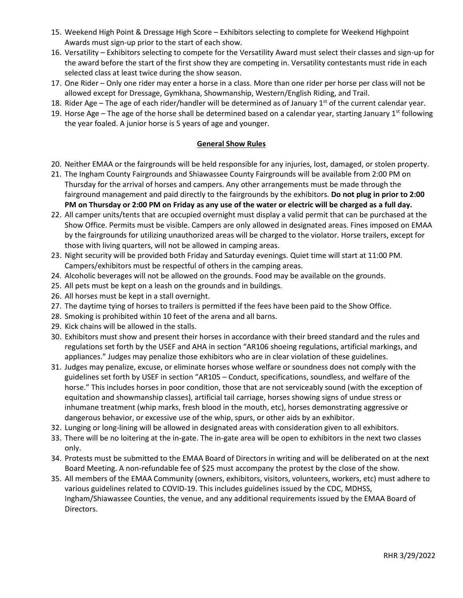- 15. Weekend High Point & Dressage High Score Exhibitors selecting to complete for Weekend Highpoint Awards must sign-up prior to the start of each show.
- 16. Versatility Exhibitors selecting to compete for the Versatility Award must select their classes and sign-up for the award before the start of the first show they are competing in. Versatility contestants must ride in each selected class at least twice during the show season.
- 17. One Rider Only one rider may enter a horse in a class. More than one rider per horse per class will not be allowed except for Dressage, Gymkhana, Showmanship, Western/English Riding, and Trail.
- 18. Rider Age The age of each rider/handler will be determined as of January 1<sup>st</sup> of the current calendar year.
- 19. Horse Age The age of the horse shall be determined based on a calendar year, starting January 1st following the year foaled. A junior horse is 5 years of age and younger.

## **General Show Rules**

- 20. Neither EMAA or the fairgrounds will be held responsible for any injuries, lost, damaged, or stolen property.
- 21. The Ingham County Fairgrounds and Shiawassee County Fairgrounds will be available from 2:00 PM on Thursday for the arrival of horses and campers. Any other arrangements must be made through the fairground management and paid directly to the fairgrounds by the exhibitors. **Do not plug in prior to 2:00 PM on Thursday or 2:00 PM on Friday as any use of the water or electric will be charged as a full day.**
- 22. All camper units/tents that are occupied overnight must display a valid permit that can be purchased at the Show Office. Permits must be visible. Campers are only allowed in designated areas. Fines imposed on EMAA by the fairgrounds for utilizing unauthorized areas will be charged to the violator. Horse trailers, except for those with living quarters, will not be allowed in camping areas.
- 23. Night security will be provided both Friday and Saturday evenings. Quiet time will start at 11:00 PM. Campers/exhibitors must be respectful of others in the camping areas.
- 24. Alcoholic beverages will not be allowed on the grounds. Food may be available on the grounds.
- 25. All pets must be kept on a leash on the grounds and in buildings.
- 26. All horses must be kept in a stall overnight.
- 27. The daytime tying of horses to trailers is permitted if the fees have been paid to the Show Office.
- 28. Smoking is prohibited within 10 feet of the arena and all barns.
- 29. Kick chains will be allowed in the stalls.
- 30. Exhibitors must show and present their horses in accordance with their breed standard and the rules and regulations set forth by the USEF and AHA in section "AR106 shoeing regulations, artificial markings, and appliances." Judges may penalize those exhibitors who are in clear violation of these guidelines.
- 31. Judges may penalize, excuse, or eliminate horses whose welfare or soundness does not comply with the guidelines set forth by USEF in section "AR105 – Conduct, specifications, soundless, and welfare of the horse." This includes horses in poor condition, those that are not serviceably sound (with the exception of equitation and showmanship classes), artificial tail carriage, horses showing signs of undue stress or inhumane treatment (whip marks, fresh blood in the mouth, etc), horses demonstrating aggressive or dangerous behavior, or excessive use of the whip, spurs, or other aids by an exhibitor.
- 32. Lunging or long-lining will be allowed in designated areas with consideration given to all exhibitors.
- 33. There will be no loitering at the in-gate. The in-gate area will be open to exhibitors in the next two classes only.
- 34. Protests must be submitted to the EMAA Board of Directors in writing and will be deliberated on at the next Board Meeting. A non-refundable fee of \$25 must accompany the protest by the close of the show.
- 35. All members of the EMAA Community (owners, exhibitors, visitors, volunteers, workers, etc) must adhere to various guidelines related to COVID-19. This includes guidelines issued by the CDC, MDHSS, Ingham/Shiawassee Counties, the venue, and any additional requirements issued by the EMAA Board of Directors.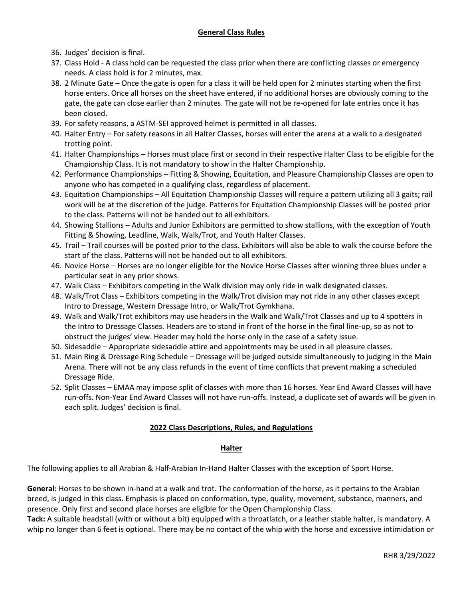- 36. Judges' decision is final.
- 37. Class Hold A class hold can be requested the class prior when there are conflicting classes or emergency needs. A class hold is for 2 minutes, max.
- 38. 2 Minute Gate Once the gate is open for a class it will be held open for 2 minutes starting when the first horse enters. Once all horses on the sheet have entered, if no additional horses are obviously coming to the gate, the gate can close earlier than 2 minutes. The gate will not be re-opened for late entries once it has been closed.
- 39. For safety reasons, a ASTM-SEI approved helmet is permitted in all classes.
- 40. Halter Entry For safety reasons in all Halter Classes, horses will enter the arena at a walk to a designated trotting point.
- 41. Halter Championships Horses must place first or second in their respective Halter Class to be eligible for the Championship Class. It is not mandatory to show in the Halter Championship.
- 42. Performance Championships Fitting & Showing, Equitation, and Pleasure Championship Classes are open to anyone who has competed in a qualifying class, regardless of placement.
- 43. Equitation Championships All Equitation Championship Classes will require a pattern utilizing all 3 gaits; rail work will be at the discretion of the judge. Patterns for Equitation Championship Classes will be posted prior to the class. Patterns will not be handed out to all exhibitors.
- 44. Showing Stallions Adults and Junior Exhibitors are permitted to show stallions, with the exception of Youth Fitting & Showing, Leadline, Walk, Walk/Trot, and Youth Halter Classes.
- 45. Trail Trail courses will be posted prior to the class. Exhibitors will also be able to walk the course before the start of the class. Patterns will not be handed out to all exhibitors.
- 46. Novice Horse Horses are no longer eligible for the Novice Horse Classes after winning three blues under a particular seat in any prior shows.
- 47. Walk Class Exhibitors competing in the Walk division may only ride in walk designated classes.
- 48. Walk/Trot Class Exhibitors competing in the Walk/Trot division may not ride in any other classes except Intro to Dressage, Western Dressage Intro, or Walk/Trot Gymkhana.
- 49. Walk and Walk/Trot exhibitors may use headers in the Walk and Walk/Trot Classes and up to 4 spotters in the Intro to Dressage Classes. Headers are to stand in front of the horse in the final line-up, so as not to obstruct the judges' view. Header may hold the horse only in the case of a safety issue.
- 50. Sidesaddle Appropriate sidesaddle attire and appointments may be used in all pleasure classes.
- 51. Main Ring & Dressage Ring Schedule Dressage will be judged outside simultaneously to judging in the Main Arena. There will not be any class refunds in the event of time conflicts that prevent making a scheduled Dressage Ride.
- 52. Split Classes EMAA may impose split of classes with more than 16 horses. Year End Award Classes will have run-offs. Non-Year End Award Classes will not have run-offs. Instead, a duplicate set of awards will be given in each split. Judges' decision is final.

# **2022 Class Descriptions, Rules, and Regulations**

### **Halter**

The following applies to all Arabian & Half-Arabian In-Hand Halter Classes with the exception of Sport Horse.

**General:** Horses to be shown in-hand at a walk and trot. The conformation of the horse, as it pertains to the Arabian breed, is judged in this class. Emphasis is placed on conformation, type, quality, movement, substance, manners, and presence. Only first and second place horses are eligible for the Open Championship Class.

**Tack:** A suitable headstall (with or without a bit) equipped with a throatlatch, or a leather stable halter, is mandatory. A whip no longer than 6 feet is optional. There may be no contact of the whip with the horse and excessive intimidation or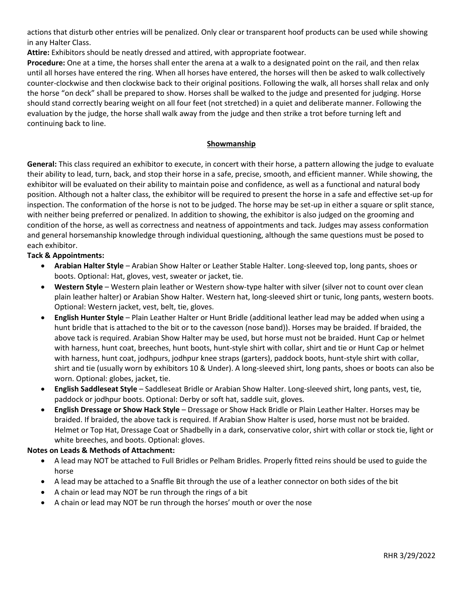actions that disturb other entries will be penalized. Only clear or transparent hoof products can be used while showing in any Halter Class.

**Attire:** Exhibitors should be neatly dressed and attired, with appropriate footwear.

**Procedure:** One at a time, the horses shall enter the arena at a walk to a designated point on the rail, and then relax until all horses have entered the ring. When all horses have entered, the horses will then be asked to walk collectively counter-clockwise and then clockwise back to their original positions. Following the walk, all horses shall relax and only the horse "on deck" shall be prepared to show. Horses shall be walked to the judge and presented for judging. Horse should stand correctly bearing weight on all four feet (not stretched) in a quiet and deliberate manner. Following the evaluation by the judge, the horse shall walk away from the judge and then strike a trot before turning left and continuing back to line.

### **Showmanship**

**General:** This class required an exhibitor to execute, in concert with their horse, a pattern allowing the judge to evaluate their ability to lead, turn, back, and stop their horse in a safe, precise, smooth, and efficient manner. While showing, the exhibitor will be evaluated on their ability to maintain poise and confidence, as well as a functional and natural body position. Although not a halter class, the exhibitor will be required to present the horse in a safe and effective set-up for inspection. The conformation of the horse is not to be judged. The horse may be set-up in either a square or split stance, with neither being preferred or penalized. In addition to showing, the exhibitor is also judged on the grooming and condition of the horse, as well as correctness and neatness of appointments and tack. Judges may assess conformation and general horsemanship knowledge through individual questioning, although the same questions must be posed to each exhibitor.

### **Tack & Appointments:**

- **Arabian Halter Style** Arabian Show Halter or Leather Stable Halter. Long-sleeved top, long pants, shoes or boots. Optional: Hat, gloves, vest, sweater or jacket, tie.
- **Western Style** Western plain leather or Western show-type halter with silver (silver not to count over clean plain leather halter) or Arabian Show Halter. Western hat, long-sleeved shirt or tunic, long pants, western boots. Optional: Western jacket, vest, belt, tie, gloves.
- **English Hunter Style** Plain Leather Halter or Hunt Bridle (additional leather lead may be added when using a hunt bridle that is attached to the bit or to the cavesson (nose band)). Horses may be braided. If braided, the above tack is required. Arabian Show Halter may be used, but horse must not be braided. Hunt Cap or helmet with harness, hunt coat, breeches, hunt boots, hunt-style shirt with collar, shirt and tie or Hunt Cap or helmet with harness, hunt coat, jodhpurs, jodhpur knee straps (garters), paddock boots, hunt-style shirt with collar, shirt and tie (usually worn by exhibitors 10 & Under). A long-sleeved shirt, long pants, shoes or boots can also be worn. Optional: globes, jacket, tie.
- **English Saddleseat Style** Saddleseat Bridle or Arabian Show Halter. Long-sleeved shirt, long pants, vest, tie, paddock or jodhpur boots. Optional: Derby or soft hat, saddle suit, gloves.
- **English Dressage or Show Hack Style** Dressage or Show Hack Bridle or Plain Leather Halter. Horses may be braided. If braided, the above tack is required. If Arabian Show Halter is used, horse must not be braided. Helmet or Top Hat, Dressage Coat or Shadbelly in a dark, conservative color, shirt with collar or stock tie, light or white breeches, and boots. Optional: gloves.

### **Notes on Leads & Methods of Attachment:**

- A lead may NOT be attached to Full Bridles or Pelham Bridles. Properly fitted reins should be used to guide the horse
- A lead may be attached to a Snaffle Bit through the use of a leather connector on both sides of the bit
- A chain or lead may NOT be run through the rings of a bit
- A chain or lead may NOT be run through the horses' mouth or over the nose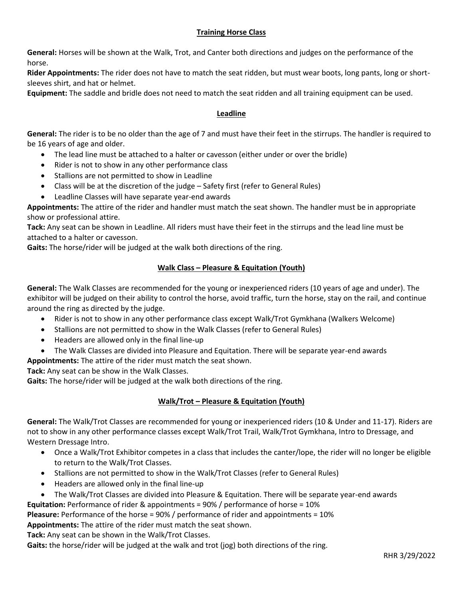# **Training Horse Class**

**General:** Horses will be shown at the Walk, Trot, and Canter both directions and judges on the performance of the horse.

**Rider Appointments:** The rider does not have to match the seat ridden, but must wear boots, long pants, long or shortsleeves shirt, and hat or helmet.

**Equipment:** The saddle and bridle does not need to match the seat ridden and all training equipment can be used.

## **Leadline**

**General:** The rider is to be no older than the age of 7 and must have their feet in the stirrups. The handler is required to be 16 years of age and older.

- The lead line must be attached to a halter or cavesson (either under or over the bridle)
- Rider is not to show in any other performance class
- Stallions are not permitted to show in Leadline
- Class will be at the discretion of the judge Safety first (refer to General Rules)
- Leadline Classes will have separate year-end awards

**Appointments:** The attire of the rider and handler must match the seat shown. The handler must be in appropriate show or professional attire.

**Tack:** Any seat can be shown in Leadline. All riders must have their feet in the stirrups and the lead line must be attached to a halter or cavesson.

**Gaits:** The horse/rider will be judged at the walk both directions of the ring.

# **Walk Class – Pleasure & Equitation (Youth)**

**General:** The Walk Classes are recommended for the young or inexperienced riders (10 years of age and under). The exhibitor will be judged on their ability to control the horse, avoid traffic, turn the horse, stay on the rail, and continue around the ring as directed by the judge.

- Rider is not to show in any other performance class except Walk/Trot Gymkhana (Walkers Welcome)
- Stallions are not permitted to show in the Walk Classes (refer to General Rules)
- Headers are allowed only in the final line-up
- The Walk Classes are divided into Pleasure and Equitation. There will be separate year-end awards

**Appointments:** The attire of the rider must match the seat shown.

**Tack:** Any seat can be show in the Walk Classes.

**Gaits:** The horse/rider will be judged at the walk both directions of the ring.

# **Walk/Trot – Pleasure & Equitation (Youth)**

**General:** The Walk/Trot Classes are recommended for young or inexperienced riders (10 & Under and 11-17). Riders are not to show in any other performance classes except Walk/Trot Trail, Walk/Trot Gymkhana, Intro to Dressage, and Western Dressage Intro.

- Once a Walk/Trot Exhibitor competes in a class that includes the canter/lope, the rider will no longer be eligible to return to the Walk/Trot Classes.
- Stallions are not permitted to show in the Walk/Trot Classes (refer to General Rules)
- Headers are allowed only in the final line-up
- The Walk/Trot Classes are divided into Pleasure & Equitation. There will be separate year-end awards
- **Equitation:** Performance of rider & appointments = 90% / performance of horse = 10%

**Pleasure:** Performance of the horse = 90% / performance of rider and appointments = 10%

**Appointments:** The attire of the rider must match the seat shown.

**Tack:** Any seat can be shown in the Walk/Trot Classes.

**Gaits:** the horse/rider will be judged at the walk and trot (jog) both directions of the ring.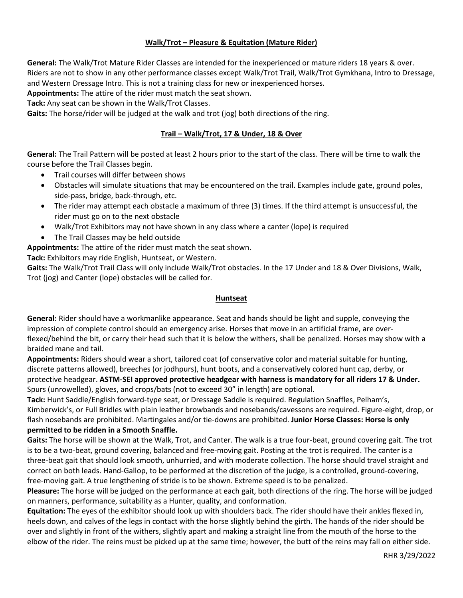## **Walk/Trot – Pleasure & Equitation (Mature Rider)**

**General:** The Walk/Trot Mature Rider Classes are intended for the inexperienced or mature riders 18 years & over. Riders are not to show in any other performance classes except Walk/Trot Trail, Walk/Trot Gymkhana, Intro to Dressage, and Western Dressage Intro. This is not a training class for new or inexperienced horses.

**Appointments:** The attire of the rider must match the seat shown.

**Tack:** Any seat can be shown in the Walk/Trot Classes.

**Gaits:** The horse/rider will be judged at the walk and trot (jog) both directions of the ring.

## **Trail – Walk/Trot, 17 & Under, 18 & Over**

**General:** The Trail Pattern will be posted at least 2 hours prior to the start of the class. There will be time to walk the course before the Trail Classes begin.

- Trail courses will differ between shows
- Obstacles will simulate situations that may be encountered on the trail. Examples include gate, ground poles, side-pass, bridge, back-through, etc.
- The rider may attempt each obstacle a maximum of three (3) times. If the third attempt is unsuccessful, the rider must go on to the next obstacle
- Walk/Trot Exhibitors may not have shown in any class where a canter (lope) is required
- The Trail Classes may be held outside

**Appointments:** The attire of the rider must match the seat shown.

**Tack:** Exhibitors may ride English, Huntseat, or Western.

**Gaits:** The Walk/Trot Trail Class will only include Walk/Trot obstacles. In the 17 Under and 18 & Over Divisions, Walk, Trot (jog) and Canter (lope) obstacles will be called for.

#### **Huntseat**

**General:** Rider should have a workmanlike appearance. Seat and hands should be light and supple, conveying the impression of complete control should an emergency arise. Horses that move in an artificial frame, are overflexed/behind the bit, or carry their head such that it is below the withers, shall be penalized. Horses may show with a braided mane and tail.

**Appointments:** Riders should wear a short, tailored coat (of conservative color and material suitable for hunting, discrete patterns allowed), breeches (or jodhpurs), hunt boots, and a conservatively colored hunt cap, derby, or protective headgear. **ASTM-SEI approved protective headgear with harness is mandatory for all riders 17 & Under.**  Spurs (unrowelled), gloves, and crops/bats (not to exceed 30" in length) are optional.

**Tack:** Hunt Saddle/English forward-type seat, or Dressage Saddle is required. Regulation Snaffles, Pelham's, Kimberwick's, or Full Bridles with plain leather browbands and nosebands/cavessons are required. Figure-eight, drop, or flash nosebands are prohibited. Martingales and/or tie-downs are prohibited. **Junior Horse Classes: Horse is only permitted to be ridden in a Smooth Snaffle.**

**Gaits:** The horse will be shown at the Walk, Trot, and Canter. The walk is a true four-beat, ground covering gait. The trot is to be a two-beat, ground covering, balanced and free-moving gait. Posting at the trot is required. The canter is a three-beat gait that should look smooth, unhurried, and with moderate collection. The horse should travel straight and correct on both leads. Hand-Gallop, to be performed at the discretion of the judge, is a controlled, ground-covering, free-moving gait. A true lengthening of stride is to be shown. Extreme speed is to be penalized.

**Pleasure:** The horse will be judged on the performance at each gait, both directions of the ring. The horse will be judged on manners, performance, suitability as a Hunter, quality, and conformation.

**Equitation:** The eyes of the exhibitor should look up with shoulders back. The rider should have their ankles flexed in, heels down, and calves of the legs in contact with the horse slightly behind the girth. The hands of the rider should be over and slightly in front of the withers, slightly apart and making a straight line from the mouth of the horse to the elbow of the rider. The reins must be picked up at the same time; however, the butt of the reins may fall on either side.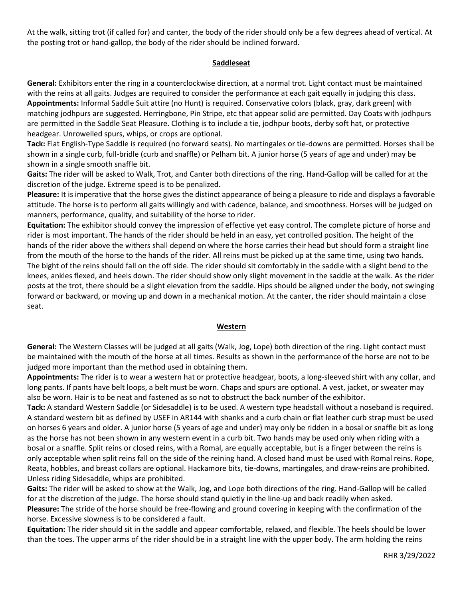At the walk, sitting trot (if called for) and canter, the body of the rider should only be a few degrees ahead of vertical. At the posting trot or hand-gallop, the body of the rider should be inclined forward.

#### **Saddleseat**

**General:** Exhibitors enter the ring in a counterclockwise direction, at a normal trot. Light contact must be maintained with the reins at all gaits. Judges are required to consider the performance at each gait equally in judging this class. **Appointments:** Informal Saddle Suit attire (no Hunt) is required. Conservative colors (black, gray, dark green) with matching jodhpurs are suggested. Herringbone, Pin Stripe, etc that appear solid are permitted. Day Coats with jodhpurs are permitted in the Saddle Seat Pleasure. Clothing is to include a tie, jodhpur boots, derby soft hat, or protective headgear. Unrowelled spurs, whips, or crops are optional.

**Tack:** Flat English-Type Saddle is required (no forward seats). No martingales or tie-downs are permitted. Horses shall be shown in a single curb, full-bridle (curb and snaffle) or Pelham bit. A junior horse (5 years of age and under) may be shown in a single smooth snaffle bit.

**Gaits:** The rider will be asked to Walk, Trot, and Canter both directions of the ring. Hand-Gallop will be called for at the discretion of the judge. Extreme speed is to be penalized.

**Pleasure:** It is imperative that the horse gives the distinct appearance of being a pleasure to ride and displays a favorable attitude. The horse is to perform all gaits willingly and with cadence, balance, and smoothness. Horses will be judged on manners, performance, quality, and suitability of the horse to rider.

**Equitation:** The exhibitor should convey the impression of effective yet easy control. The complete picture of horse and rider is most important. The hands of the rider should be held in an easy, yet controlled position. The height of the hands of the rider above the withers shall depend on where the horse carries their head but should form a straight line from the mouth of the horse to the hands of the rider. All reins must be picked up at the same time, using two hands. The bight of the reins should fall on the off side. The rider should sit comfortably in the saddle with a slight bend to the knees, ankles flexed, and heels down. The rider should show only slight movement in the saddle at the walk. As the rider posts at the trot, there should be a slight elevation from the saddle. Hips should be aligned under the body, not swinging forward or backward, or moving up and down in a mechanical motion. At the canter, the rider should maintain a close seat.

#### **Western**

**General:** The Western Classes will be judged at all gaits (Walk, Jog, Lope) both direction of the ring. Light contact must be maintained with the mouth of the horse at all times. Results as shown in the performance of the horse are not to be judged more important than the method used in obtaining them.

**Appointments:** The rider is to wear a western hat or protective headgear, boots, a long-sleeved shirt with any collar, and long pants. If pants have belt loops, a belt must be worn. Chaps and spurs are optional. A vest, jacket, or sweater may also be worn. Hair is to be neat and fastened as so not to obstruct the back number of the exhibitor.

**Tack:** A standard Western Saddle (or Sidesaddle) is to be used. A western type headstall without a noseband is required. A standard western bit as defined by USEF in AR144 with shanks and a curb chain or flat leather curb strap must be used on horses 6 years and older. A junior horse (5 years of age and under) may only be ridden in a bosal or snaffle bit as long as the horse has not been shown in any western event in a curb bit. Two hands may be used only when riding with a bosal or a snaffle. Split reins or closed reins, with a Romal, are equally acceptable, but is a finger between the reins is only acceptable when split reins fall on the side of the reining hand. A closed hand must be used with Romal reins. Rope, Reata, hobbles, and breast collars are optional. Hackamore bits, tie-downs, martingales, and draw-reins are prohibited. Unless riding Sidesaddle, whips are prohibited.

**Gaits:** The rider will be asked to show at the Walk, Jog, and Lope both directions of the ring. Hand-Gallop will be called for at the discretion of the judge. The horse should stand quietly in the line-up and back readily when asked.

**Pleasure:** The stride of the horse should be free-flowing and ground covering in keeping with the confirmation of the horse. Excessive slowness is to be considered a fault.

**Equitation:** The rider should sit in the saddle and appear comfortable, relaxed, and flexible. The heels should be lower than the toes. The upper arms of the rider should be in a straight line with the upper body. The arm holding the reins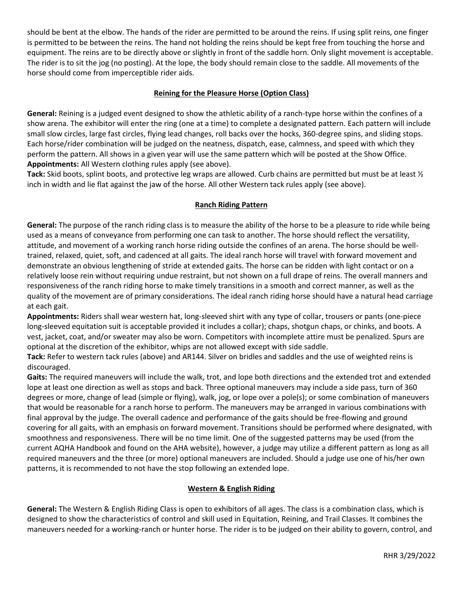should be bent at the elbow. The hands of the rider are permitted to be around the reins. If using split reins, one finger is permitted to be between the reins. The hand not holding the reins should be kept free from touching the horse and equipment. The reins are to be directly above or slightly in front of the saddle horn. Only slight movement is acceptable. The rider is to sit the jog (no posting). At the lope, the body should remain close to the saddle. All movements of the horse should come from imperceptible rider aids.

## **Reining for the Pleasure Horse (Option Class)**

**General:** Reining is a judged event designed to show the athletic ability of a ranch-type horse within the confines of a show arena. The exhibitor will enter the ring (one at a time) to complete a designated pattern. Each pattern will include small slow circles, large fast circles, flying lead changes, roll backs over the hocks, 360-degree spins, and sliding stops. Each horse/rider combination will be judged on the neatness, dispatch, ease, calmness, and speed with which they perform the pattern. All shows in a given year will use the same pattern which will be posted at the Show Office. **Appointments:** All Western clothing rules apply (see above).

**Tack:** Skid boots, splint boots, and protective leg wraps are allowed. Curb chains are permitted but must be at least ½ inch in width and lie flat against the jaw of the horse. All other Western tack rules apply (see above).

## **Ranch Riding Pattern**

**General:** The purpose of the ranch riding class is to measure the ability of the horse to be a pleasure to ride while being used as a means of conveyance from performing one can task to another. The horse should reflect the versatility, attitude, and movement of a working ranch horse riding outside the confines of an arena. The horse should be welltrained, relaxed, quiet, soft, and cadenced at all gaits. The ideal ranch horse will travel with forward movement and demonstrate an obvious lengthening of stride at extended gaits. The horse can be ridden with light contact or on a relatively loose rein without requiring undue restraint, but not shown on a full drape of reins. The overall manners and responsiveness of the ranch riding horse to make timely transitions in a smooth and correct manner, as well as the quality of the movement are of primary considerations. The ideal ranch riding horse should have a natural head carriage at each gait.

**Appointments:** Riders shall wear western hat, long-sleeved shirt with any type of collar, trousers or pants (one-piece long-sleeved equitation suit is acceptable provided it includes a collar); chaps, shotgun chaps, or chinks, and boots. A vest, jacket, coat, and/or sweater may also be worn. Competitors with incomplete attire must be penalized. Spurs are optional at the discretion of the exhibitor, whips are not allowed except with side saddle.

**Tack:** Refer to western tack rules (above) and AR144. Silver on bridles and saddles and the use of weighted reins is discouraged.

**Gaits:** The required maneuvers will include the walk, trot, and lope both directions and the extended trot and extended lope at least one direction as well as stops and back. Three optional maneuvers may include a side pass, turn of 360 degrees or more, change of lead (simple or flying), walk, jog, or lope over a pole(s); or some combination of maneuvers that would be reasonable for a ranch horse to perform. The maneuvers may be arranged in various combinations with final approval by the judge. The overall cadence and performance of the gaits should be free-flowing and ground covering for all gaits, with an emphasis on forward movement. Transitions should be performed where designated, with smoothness and responsiveness. There will be no time limit. One of the suggested patterns may be used (from the current AQHA Handbook and found on the AHA website), however, a judge may utilize a different pattern as long as all required maneuvers and the three (or more) optional maneuvers are included. Should a judge use one of his/her own patterns, it is recommended to not have the stop following an extended lope.

### **Western & English Riding**

**General:** The Western & English Riding Class is open to exhibitors of all ages. The class is a combination class, which is designed to show the characteristics of control and skill used in Equitation, Reining, and Trail Classes. It combines the maneuvers needed for a working-ranch or hunter horse. The rider is to be judged on their ability to govern, control, and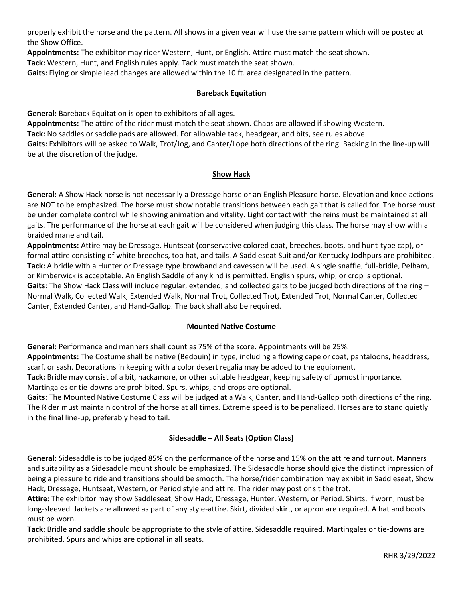properly exhibit the horse and the pattern. All shows in a given year will use the same pattern which will be posted at the Show Office.

**Appointments:** The exhibitor may rider Western, Hunt, or English. Attire must match the seat shown.

**Tack:** Western, Hunt, and English rules apply. Tack must match the seat shown.

**Gaits:** Flying or simple lead changes are allowed within the 10 ft. area designated in the pattern.

## **Bareback Equitation**

**General:** Bareback Equitation is open to exhibitors of all ages.

**Appointments:** The attire of the rider must match the seat shown. Chaps are allowed if showing Western. **Tack:** No saddles or saddle pads are allowed. For allowable tack, headgear, and bits, see rules above. **Gaits:** Exhibitors will be asked to Walk, Trot/Jog, and Canter/Lope both directions of the ring. Backing in the line-up will be at the discretion of the judge.

### **Show Hack**

**General:** A Show Hack horse is not necessarily a Dressage horse or an English Pleasure horse. Elevation and knee actions are NOT to be emphasized. The horse must show notable transitions between each gait that is called for. The horse must be under complete control while showing animation and vitality. Light contact with the reins must be maintained at all gaits. The performance of the horse at each gait will be considered when judging this class. The horse may show with a braided mane and tail.

**Appointments:** Attire may be Dressage, Huntseat (conservative colored coat, breeches, boots, and hunt-type cap), or formal attire consisting of white breeches, top hat, and tails. A Saddleseat Suit and/or Kentucky Jodhpurs are prohibited. **Tack:** A bridle with a Hunter or Dressage type browband and cavesson will be used. A single snaffle, full-bridle, Pelham, or Kimberwick is acceptable. An English Saddle of any kind is permitted. English spurs, whip, or crop is optional. Gaits: The Show Hack Class will include regular, extended, and collected gaits to be judged both directions of the ring -Normal Walk, Collected Walk, Extended Walk, Normal Trot, Collected Trot, Extended Trot, Normal Canter, Collected Canter, Extended Canter, and Hand-Gallop. The back shall also be required.

# **Mounted Native Costume**

**General:** Performance and manners shall count as 75% of the score. Appointments will be 25%.

**Appointments:** The Costume shall be native (Bedouin) in type, including a flowing cape or coat, pantaloons, headdress, scarf, or sash. Decorations in keeping with a color desert regalia may be added to the equipment.

**Tack:** Bridle may consist of a bit, hackamore, or other suitable headgear, keeping safety of upmost importance.

Martingales or tie-downs are prohibited. Spurs, whips, and crops are optional.

**Gaits:** The Mounted Native Costume Class will be judged at a Walk, Canter, and Hand-Gallop both directions of the ring. The Rider must maintain control of the horse at all times. Extreme speed is to be penalized. Horses are to stand quietly in the final line-up, preferably head to tail.

# **Sidesaddle – All Seats (Option Class)**

**General:** Sidesaddle is to be judged 85% on the performance of the horse and 15% on the attire and turnout. Manners and suitability as a Sidesaddle mount should be emphasized. The Sidesaddle horse should give the distinct impression of being a pleasure to ride and transitions should be smooth. The horse/rider combination may exhibit in Saddleseat, Show Hack, Dressage, Huntseat, Western, or Period style and attire. The rider may post or sit the trot.

**Attire:** The exhibitor may show Saddleseat, Show Hack, Dressage, Hunter, Western, or Period. Shirts, if worn, must be long-sleeved. Jackets are allowed as part of any style-attire. Skirt, divided skirt, or apron are required. A hat and boots must be worn.

**Tack:** Bridle and saddle should be appropriate to the style of attire. Sidesaddle required. Martingales or tie-downs are prohibited. Spurs and whips are optional in all seats.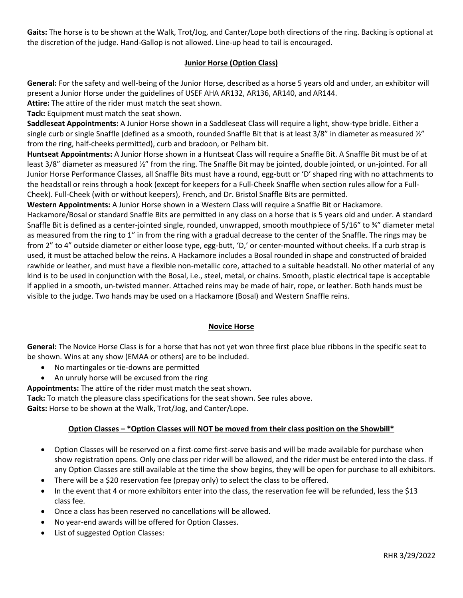**Gaits:** The horse is to be shown at the Walk, Trot/Jog, and Canter/Lope both directions of the ring. Backing is optional at the discretion of the judge. Hand-Gallop is not allowed. Line-up head to tail is encouraged.

## **Junior Horse (Option Class)**

**General:** For the safety and well-being of the Junior Horse, described as a horse 5 years old and under, an exhibitor will present a Junior Horse under the guidelines of USEF AHA AR132, AR136, AR140, and AR144.

**Attire:** The attire of the rider must match the seat shown.

**Tack:** Equipment must match the seat shown.

**Saddleseat Appointments:** A Junior Horse shown in a Saddleseat Class will require a light, show-type bridle. Either a single curb or single Snaffle (defined as a smooth, rounded Snaffle Bit that is at least 3/8" in diameter as measured  $\frac{y''}{q}$ from the ring, half-cheeks permitted), curb and bradoon, or Pelham bit.

**Huntseat Appointments:** A Junior Horse shown in a Huntseat Class will require a Snaffle Bit. A Snaffle Bit must be of at least 3/8" diameter as measured 1/2" from the ring. The Snaffle Bit may be jointed, double jointed, or un-jointed. For all Junior Horse Performance Classes, all Snaffle Bits must have a round, egg-butt or 'D' shaped ring with no attachments to the headstall or reins through a hook (except for keepers for a Full-Cheek Snaffle when section rules allow for a Full-Cheek). Full-Cheek (with or without keepers), French, and Dr. Bristol Snaffle Bits are permitted.

**Western Appointments:** A Junior Horse shown in a Western Class will require a Snaffle Bit or Hackamore.

Hackamore/Bosal or standard Snaffle Bits are permitted in any class on a horse that is 5 years old and under. A standard Snaffle Bit is defined as a center-jointed single, rounded, unwrapped, smooth mouthpiece of 5/16" to ¾" diameter metal as measured from the ring to 1" in from the ring with a gradual decrease to the center of the Snaffle. The rings may be from 2" to 4" outside diameter or either loose type, egg-butt, 'D,' or center-mounted without cheeks. If a curb strap is used, it must be attached below the reins. A Hackamore includes a Bosal rounded in shape and constructed of braided rawhide or leather, and must have a flexible non-metallic core, attached to a suitable headstall. No other material of any kind is to be used in conjunction with the Bosal, i.e., steel, metal, or chains. Smooth, plastic electrical tape is acceptable if applied in a smooth, un-twisted manner. Attached reins may be made of hair, rope, or leather. Both hands must be visible to the judge. Two hands may be used on a Hackamore (Bosal) and Western Snaffle reins.

### **Novice Horse**

**General:** The Novice Horse Class is for a horse that has not yet won three first place blue ribbons in the specific seat to be shown. Wins at any show (EMAA or others) are to be included.

- No martingales or tie-downs are permitted
- An unruly horse will be excused from the ring

**Appointments:** The attire of the rider must match the seat shown.

**Tack:** To match the pleasure class specifications for the seat shown. See rules above.

**Gaits:** Horse to be shown at the Walk, Trot/Jog, and Canter/Lope.

### **Option Classes – \*Option Classes will NOT be moved from their class position on the Showbill\***

- Option Classes will be reserved on a first-come first-serve basis and will be made available for purchase when show registration opens. Only one class per rider will be allowed, and the rider must be entered into the class. If any Option Classes are still available at the time the show begins, they will be open for purchase to all exhibitors.
- There will be a \$20 reservation fee (prepay only) to select the class to be offered.
- In the event that 4 or more exhibitors enter into the class, the reservation fee will be refunded, less the \$13 class fee.
- Once a class has been reserved no cancellations will be allowed.
- No year-end awards will be offered for Option Classes.
- List of suggested Option Classes: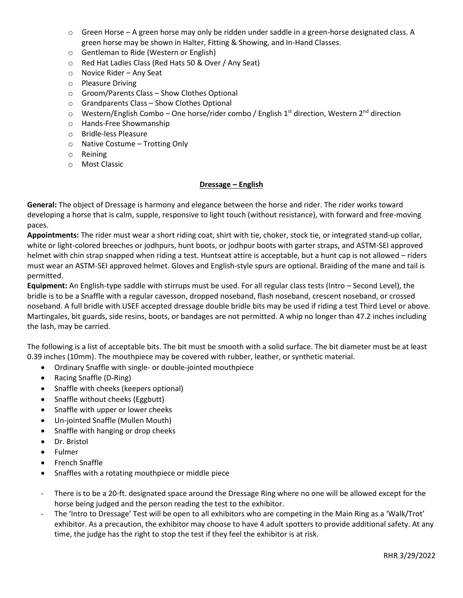- o Green Horse A green horse may only be ridden under saddle in a green-horse designated class. A green horse may be shown in Halter, Fitting & Showing, and In-Hand Classes.
- o Gentleman to Ride (Western or English)
- o Red Hat Ladies Class (Red Hats 50 & Over / Any Seat)
- o Novice Rider Any Seat
- o Pleasure Driving
- o Groom/Parents Class Show Clothes Optional
- o Grandparents Class Show Clothes Optional
- $\circ$  Western/English Combo One horse/rider combo / English 1<sup>st</sup> direction, Western 2<sup>nd</sup> direction
- o Hands-Free Showmanship
- o Bridle-less Pleasure
- o Native Costume Trotting Only
- o Reining
- o Most Classic

### **Dressage – English**

**General:** The object of Dressage is harmony and elegance between the horse and rider. The rider works toward developing a horse that is calm, supple, responsive to light touch (without resistance), with forward and free-moving paces.

**Appointments:** The rider must wear a short riding coat, shirt with tie, choker, stock tie, or integrated stand-up collar, white or light-colored breeches or jodhpurs, hunt boots, or jodhpur boots with garter straps, and ASTM-SEI approved helmet with chin strap snapped when riding a test. Huntseat attire is acceptable, but a hunt cap is not allowed – riders must wear an ASTM-SEI approved helmet. Gloves and English-style spurs are optional. Braiding of the mane and tail is permitted.

**Equipment:** An English-type saddle with stirrups must be used. For all regular class tests (Intro – Second Level), the bridle is to be a Snaffle with a regular cavesson, dropped noseband, flash noseband, crescent noseband, or crossed noseband. A full bridle with USEF accepted dressage double bridle bits may be used if riding a test Third Level or above. Martingales, bit guards, side resins, boots, or bandages are not permitted. A whip no longer than 47.2 inches including the lash, may be carried.

The following is a list of acceptable bits. The bit must be smooth with a solid surface. The bit diameter must be at least 0.39 inches (10mm). The mouthpiece may be covered with rubber, leather, or synthetic material.

- Ordinary Snaffle with single- or double-jointed mouthpiece
- Racing Snaffle (D-Ring)
- Snaffle with cheeks (keepers optional)
- Snaffle without cheeks (Eggbutt)
- Snaffle with upper or lower cheeks
- Un-jointed Snaffle (Mullen Mouth)
- Snaffle with hanging or drop cheeks
- Dr. Bristol
- Fulmer
- French Snaffle
- Snaffles with a rotating mouthpiece or middle piece
- There is to be a 20-ft. designated space around the Dressage Ring where no one will be allowed except for the horse being judged and the person reading the test to the exhibitor.
- The 'Intro to Dressage' Test will be open to all exhibitors who are competing in the Main Ring as a 'Walk/Trot' exhibitor. As a precaution, the exhibitor may choose to have 4 adult spotters to provide additional safety. At any time, the judge has the right to stop the test if they feel the exhibitor is at risk.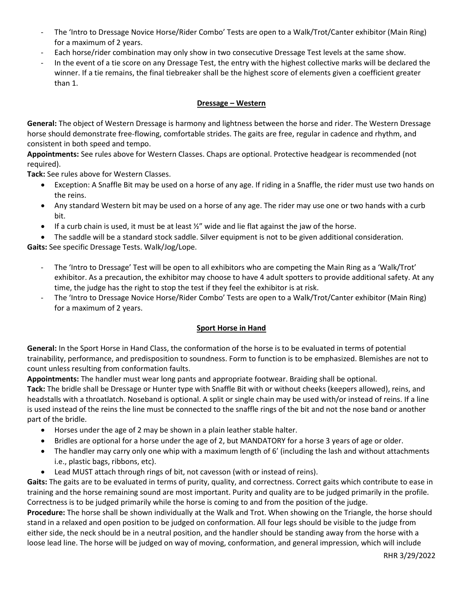- The 'Intro to Dressage Novice Horse/Rider Combo' Tests are open to a Walk/Trot/Canter exhibitor (Main Ring) for a maximum of 2 years.
- Each horse/rider combination may only show in two consecutive Dressage Test levels at the same show.
- In the event of a tie score on any Dressage Test, the entry with the highest collective marks will be declared the winner. If a tie remains, the final tiebreaker shall be the highest score of elements given a coefficient greater than 1.

## **Dressage – Western**

**General:** The object of Western Dressage is harmony and lightness between the horse and rider. The Western Dressage horse should demonstrate free-flowing, comfortable strides. The gaits are free, regular in cadence and rhythm, and consistent in both speed and tempo.

**Appointments:** See rules above for Western Classes. Chaps are optional. Protective headgear is recommended (not required).

**Tack:** See rules above for Western Classes.

- Exception: A Snaffle Bit may be used on a horse of any age. If riding in a Snaffle, the rider must use two hands on the reins.
- Any standard Western bit may be used on a horse of any age. The rider may use one or two hands with a curb bit.
- If a curb chain is used, it must be at least  $\frac{1}{2}$  wide and lie flat against the jaw of the horse.
- The saddle will be a standard stock saddle. Silver equipment is not to be given additional consideration.

**Gaits:** See specific Dressage Tests. Walk/Jog/Lope.

- The 'Intro to Dressage' Test will be open to all exhibitors who are competing the Main Ring as a 'Walk/Trot' exhibitor. As a precaution, the exhibitor may choose to have 4 adult spotters to provide additional safety. At any time, the judge has the right to stop the test if they feel the exhibitor is at risk.
- The 'Intro to Dressage Novice Horse/Rider Combo' Tests are open to a Walk/Trot/Canter exhibitor (Main Ring) for a maximum of 2 years.

# **Sport Horse in Hand**

**General:** In the Sport Horse in Hand Class, the conformation of the horse is to be evaluated in terms of potential trainability, performance, and predisposition to soundness. Form to function is to be emphasized. Blemishes are not to count unless resulting from conformation faults.

**Appointments:** The handler must wear long pants and appropriate footwear. Braiding shall be optional.

**Tack:** The bridle shall be Dressage or Hunter type with Snaffle Bit with or without cheeks (keepers allowed), reins, and headstalls with a throatlatch. Noseband is optional. A split or single chain may be used with/or instead of reins. If a line is used instead of the reins the line must be connected to the snaffle rings of the bit and not the nose band or another part of the bridle.

- Horses under the age of 2 may be shown in a plain leather stable halter.
- Bridles are optional for a horse under the age of 2, but MANDATORY for a horse 3 years of age or older.
- The handler may carry only one whip with a maximum length of 6' (including the lash and without attachments i.e., plastic bags, ribbons, etc).
- Lead MUST attach through rings of bit, not cavesson (with or instead of reins).

**Gaits:** The gaits are to be evaluated in terms of purity, quality, and correctness. Correct gaits which contribute to ease in training and the horse remaining sound are most important. Purity and quality are to be judged primarily in the profile. Correctness is to be judged primarily while the horse is coming to and from the position of the judge.

**Procedure:** The horse shall be shown individually at the Walk and Trot. When showing on the Triangle, the horse should stand in a relaxed and open position to be judged on conformation. All four legs should be visible to the judge from either side, the neck should be in a neutral position, and the handler should be standing away from the horse with a loose lead line. The horse will be judged on way of moving, conformation, and general impression, which will include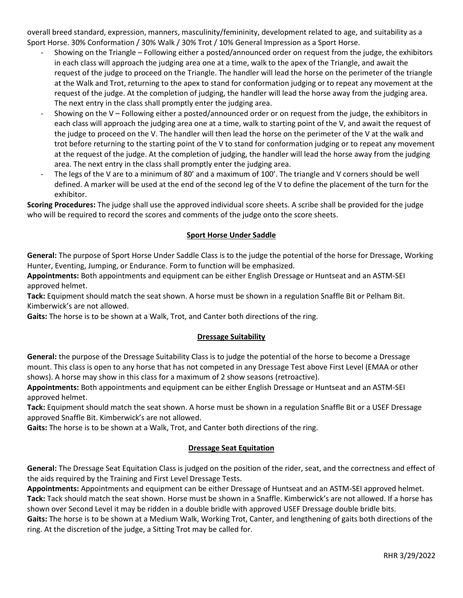overall breed standard, expression, manners, masculinity/femininity, development related to age, and suitability as a Sport Horse. 30% Conformation / 30% Walk / 30% Trot / 10% General Impression as a Sport Horse.

- Showing on the Triangle Following either a posted/announced order on request from the judge, the exhibitors in each class will approach the judging area one at a time, walk to the apex of the Triangle, and await the request of the judge to proceed on the Triangle. The handler will lead the horse on the perimeter of the triangle at the Walk and Trot, returning to the apex to stand for conformation judging or to repeat any movement at the request of the judge. At the completion of judging, the handler will lead the horse away from the judging area. The next entry in the class shall promptly enter the judging area.
- Showing on the V Following either a posted/announced order or on request from the judge, the exhibitors in each class will approach the judging area one at a time, walk to starting point of the V, and await the request of the judge to proceed on the V. The handler will then lead the horse on the perimeter of the V at the walk and trot before returning to the starting point of the V to stand for conformation judging or to repeat any movement at the request of the judge. At the completion of judging, the handler will lead the horse away from the judging area. The next entry in the class shall promptly enter the judging area.
- The legs of the V are to a minimum of 80' and a maximum of 100'. The triangle and V corners should be well defined. A marker will be used at the end of the second leg of the V to define the placement of the turn for the exhibitor.

**Scoring Procedures:** The judge shall use the approved individual score sheets. A scribe shall be provided for the judge who will be required to record the scores and comments of the judge onto the score sheets.

## **Sport Horse Under Saddle**

**General:** The purpose of Sport Horse Under Saddle Class is to the judge the potential of the horse for Dressage, Working Hunter, Eventing, Jumping, or Endurance. Form to function will be emphasized.

**Appointments:** Both appointments and equipment can be either English Dressage or Huntseat and an ASTM-SEI approved helmet.

**Tack:** Equipment should match the seat shown. A horse must be shown in a regulation Snaffle Bit or Pelham Bit. Kimberwick's are not allowed.

**Gaits:** The horse is to be shown at a Walk, Trot, and Canter both directions of the ring.

### **Dressage Suitability**

**General:** the purpose of the Dressage Suitability Class is to judge the potential of the horse to become a Dressage mount. This class is open to any horse that has not competed in any Dressage Test above First Level (EMAA or other shows). A horse may show in this class for a maximum of 2 show seasons (retroactive).

**Appointments:** Both appointments and equipment can be either English Dressage or Huntseat and an ASTM-SEI approved helmet.

**Tack:** Equipment should match the seat shown. A horse must be shown in a regulation Snaffle Bit or a USEF Dressage approved Snaffle Bit. Kimberwick's are not allowed.

**Gaits:** The horse is to be shown at a Walk, Trot, and Canter both directions of the ring.

### **Dressage Seat Equitation**

**General:** The Dressage Seat Equitation Class is judged on the position of the rider, seat, and the correctness and effect of the aids required by the Training and First Level Dressage Tests.

**Appointments:** Appointments and equipment can be either Dressage of Huntseat and an ASTM-SEI approved helmet. **Tack:** Tack should match the seat shown. Horse must be shown in a Snaffle. Kimberwick's are not allowed. If a horse has shown over Second Level it may be ridden in a double bridle with approved USEF Dressage double bridle bits.

**Gaits:** The horse is to be shown at a Medium Walk, Working Trot, Canter, and lengthening of gaits both directions of the ring. At the discretion of the judge, a Sitting Trot may be called for.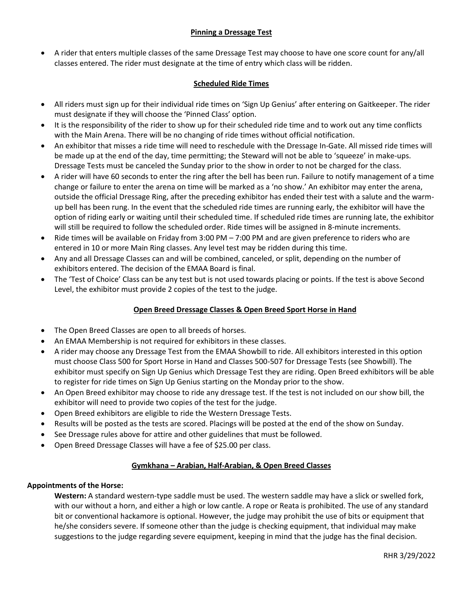## **Pinning a Dressage Test**

• A rider that enters multiple classes of the same Dressage Test may choose to have one score count for any/all classes entered. The rider must designate at the time of entry which class will be ridden.

## **Scheduled Ride Times**

- All riders must sign up for their individual ride times on 'Sign Up Genius' after entering on Gaitkeeper. The rider must designate if they will choose the 'Pinned Class' option.
- It is the responsibility of the rider to show up for their scheduled ride time and to work out any time conflicts with the Main Arena. There will be no changing of ride times without official notification.
- An exhibitor that misses a ride time will need to reschedule with the Dressage In-Gate. All missed ride times will be made up at the end of the day, time permitting; the Steward will not be able to 'squeeze' in make-ups. Dressage Tests must be canceled the Sunday prior to the show in order to not be charged for the class.
- A rider will have 60 seconds to enter the ring after the bell has been run. Failure to notify management of a time change or failure to enter the arena on time will be marked as a 'no show.' An exhibitor may enter the arena, outside the official Dressage Ring, after the preceding exhibitor has ended their test with a salute and the warmup bell has been rung. In the event that the scheduled ride times are running early, the exhibitor will have the option of riding early or waiting until their scheduled time. If scheduled ride times are running late, the exhibitor will still be required to follow the scheduled order. Ride times will be assigned in 8-minute increments.
- Ride times will be available on Friday from 3:00 PM 7:00 PM and are given preference to riders who are entered in 10 or more Main Ring classes. Any level test may be ridden during this time.
- Any and all Dressage Classes can and will be combined, canceled, or split, depending on the number of exhibitors entered. The decision of the EMAA Board is final.
- The 'Test of Choice' Class can be any test but is not used towards placing or points. If the test is above Second Level, the exhibitor must provide 2 copies of the test to the judge.

# **Open Breed Dressage Classes & Open Breed Sport Horse in Hand**

- The Open Breed Classes are open to all breeds of horses.
- An EMAA Membership is not required for exhibitors in these classes.
- A rider may choose any Dressage Test from the EMAA Showbill to ride. All exhibitors interested in this option must choose Class 500 for Sport Horse in Hand and Classes 500-507 for Dressage Tests (see Showbill). The exhibitor must specify on Sign Up Genius which Dressage Test they are riding. Open Breed exhibitors will be able to register for ride times on Sign Up Genius starting on the Monday prior to the show.
- An Open Breed exhibitor may choose to ride any dressage test. If the test is not included on our show bill, the exhibitor will need to provide two copies of the test for the judge.
- Open Breed exhibitors are eligible to ride the Western Dressage Tests.
- Results will be posted as the tests are scored. Placings will be posted at the end of the show on Sunday.
- See Dressage rules above for attire and other guidelines that must be followed.
- Open Breed Dressage Classes will have a fee of \$25.00 per class.

# **Gymkhana – Arabian, Half-Arabian, & Open Breed Classes**

### **Appointments of the Horse:**

**Western:** A standard western-type saddle must be used. The western saddle may have a slick or swelled fork, with our without a horn, and either a high or low cantle. A rope or Reata is prohibited. The use of any standard bit or conventional hackamore is optional. However, the judge may prohibit the use of bits or equipment that he/she considers severe. If someone other than the judge is checking equipment, that individual may make suggestions to the judge regarding severe equipment, keeping in mind that the judge has the final decision.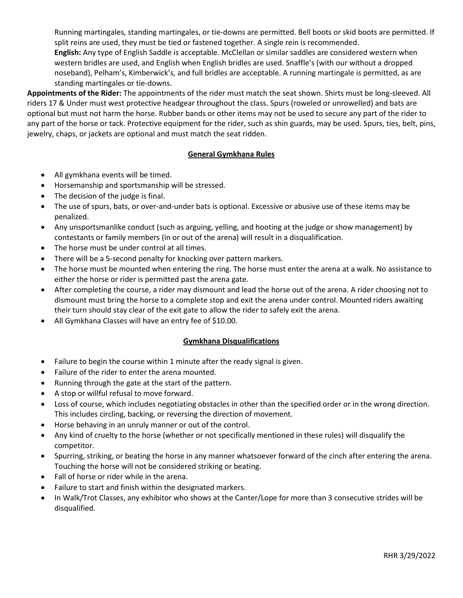Running martingales, standing martingales, or tie-downs are permitted. Bell boots or skid boots are permitted. If split reins are used, they must be tied or fastened together. A single rein is recommended. **English:** Any type of English Saddle is acceptable. McClellan or similar saddles are considered western when western bridles are used, and English when English bridles are used. Snaffle's (with our without a dropped noseband), Pelham's, Kimberwick's, and full bridles are acceptable. A running martingale is permitted, as are standing martingales or tie-downs.

**Appointments of the Rider:** The appointments of the rider must match the seat shown. Shirts must be long-sleeved. All riders 17 & Under must west protective headgear throughout the class. Spurs (roweled or unrowelled) and bats are optional but must not harm the horse. Rubber bands or other items may not be used to secure any part of the rider to any part of the horse or tack. Protective equipment for the rider, such as shin guards, may be used. Spurs, ties, belt, pins, jewelry, chaps, or jackets are optional and must match the seat ridden.

## **General Gymkhana Rules**

- All gymkhana events will be timed.
- Horsemanship and sportsmanship will be stressed.
- The decision of the judge is final.
- The use of spurs, bats, or over-and-under bats is optional. Excessive or abusive use of these items may be penalized.
- Any unsportsmanlike conduct (such as arguing, yelling, and hooting at the judge or show management) by contestants or family members (in or out of the arena) will result in a disqualification.
- The horse must be under control at all times.
- There will be a 5-second penalty for knocking over pattern markers.
- The horse must be mounted when entering the ring. The horse must enter the arena at a walk. No assistance to either the horse or rider is permitted past the arena gate.
- After completing the course, a rider may dismount and lead the horse out of the arena. A rider choosing not to dismount must bring the horse to a complete stop and exit the arena under control. Mounted riders awaiting their turn should stay clear of the exit gate to allow the rider to safely exit the arena.
- All Gymkhana Classes will have an entry fee of \$10.00.

### **Gymkhana Disqualifications**

- Failure to begin the course within 1 minute after the ready signal is given.
- Failure of the rider to enter the arena mounted.
- Running through the gate at the start of the pattern.
- A stop or willful refusal to move forward.
- Loss of course, which includes negotiating obstacles in other than the specified order or in the wrong direction. This includes circling, backing, or reversing the direction of movement.
- Horse behaving in an unruly manner or out of the control.
- Any kind of cruelty to the horse (whether or not specifically mentioned in these rules) will disqualify the competitor.
- Spurring, striking, or beating the horse in any manner whatsoever forward of the cinch after entering the arena. Touching the horse will not be considered striking or beating.
- Fall of horse or rider while in the arena.
- Failure to start and finish within the designated markers.
- In Walk/Trot Classes, any exhibitor who shows at the Canter/Lope for more than 3 consecutive strides will be disqualified.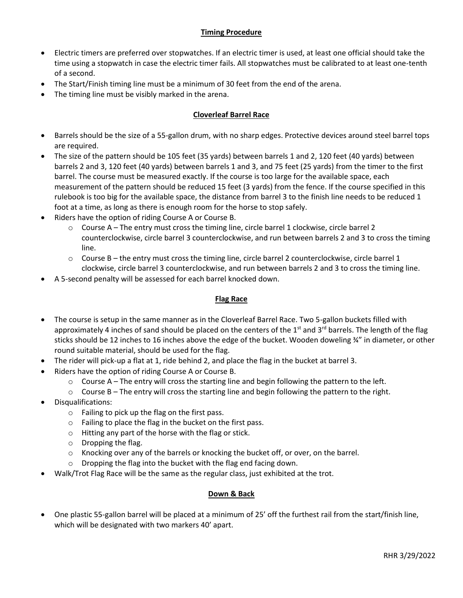## **Timing Procedure**

- Electric timers are preferred over stopwatches. If an electric timer is used, at least one official should take the time using a stopwatch in case the electric timer fails. All stopwatches must be calibrated to at least one-tenth of a second.
- The Start/Finish timing line must be a minimum of 30 feet from the end of the arena.
- The timing line must be visibly marked in the arena.

## **Cloverleaf Barrel Race**

- Barrels should be the size of a 55-gallon drum, with no sharp edges. Protective devices around steel barrel tops are required.
- The size of the pattern should be 105 feet (35 yards) between barrels 1 and 2, 120 feet (40 yards) between barrels 2 and 3, 120 feet (40 yards) between barrels 1 and 3, and 75 feet (25 yards) from the timer to the first barrel. The course must be measured exactly. If the course is too large for the available space, each measurement of the pattern should be reduced 15 feet (3 yards) from the fence. If the course specified in this rulebook is too big for the available space, the distance from barrel 3 to the finish line needs to be reduced 1 foot at a time, as long as there is enough room for the horse to stop safely.
- Riders have the option of riding Course A or Course B.
	- o Course A The entry must cross the timing line, circle barrel 1 clockwise, circle barrel 2 counterclockwise, circle barrel 3 counterclockwise, and run between barrels 2 and 3 to cross the timing line.
	- $\circ$  Course B the entry must cross the timing line, circle barrel 2 counterclockwise, circle barrel 1 clockwise, circle barrel 3 counterclockwise, and run between barrels 2 and 3 to cross the timing line.
- A 5-second penalty will be assessed for each barrel knocked down.

### **Flag Race**

- The course is setup in the same manner as in the Cloverleaf Barrel Race. Two 5-gallon buckets filled with approximately 4 inches of sand should be placed on the centers of the  $1<sup>st</sup>$  and  $3<sup>rd</sup>$  barrels. The length of the flag sticks should be 12 inches to 16 inches above the edge of the bucket. Wooden doweling ¾" in diameter, or other round suitable material, should be used for the flag.
- The rider will pick-up a flat at 1, ride behind 2, and place the flag in the bucket at barrel 3.
- Riders have the option of riding Course A or Course B.
	- $\circ$  Course A The entry will cross the starting line and begin following the pattern to the left.
	- $\circ$  Course B The entry will cross the starting line and begin following the pattern to the right.
- Disqualifications:
	- o Failing to pick up the flag on the first pass.
	- o Failing to place the flag in the bucket on the first pass.
	- o Hitting any part of the horse with the flag or stick.
	- o Dropping the flag.
	- $\circ$  Knocking over any of the barrels or knocking the bucket off, or over, on the barrel.
	- $\circ$  Dropping the flag into the bucket with the flag end facing down.
- Walk/Trot Flag Race will be the same as the regular class, just exhibited at the trot.

### **Down & Back**

• One plastic 55-gallon barrel will be placed at a minimum of 25' off the furthest rail from the start/finish line, which will be designated with two markers 40' apart.